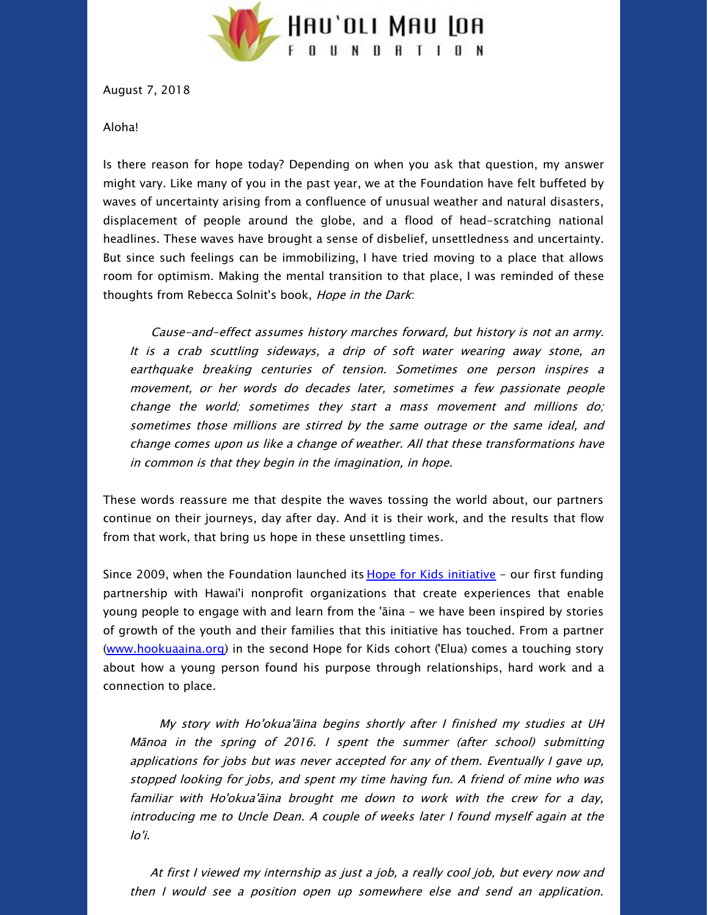

August 7, 2018

Aloha!

Is there reason for hope today? Depending on when you ask that question, my answer might vary. Like many of you in the past year, we at the Foundation have felt buffeted by waves of uncertainty arising from a confluence of unusual weather and natural disasters, displacement of people around the globe, and a flood of head-scratching national headlines. These waves have brought a sense of disbelief, unsettledness and uncertainty. But since such feelings can be immobilizing, I have tried moving to a place that allows room for optimism. Making the mental transition to that place, I was reminded of these thoughts from Rebecca Solnit's book, Hope in the Dark:

Cause-and-effect assumes history marches forward, but history is not an army. It is <sup>a</sup> crab scuttling sideways, <sup>a</sup> drip of soft water wearing away stone, an earthquake breaking centuries of tension. Sometimes one person inspires <sup>a</sup> movement, or her words do decades later, sometimes <sup>a</sup> few passionate people change the world; sometimes they start <sup>a</sup> mass movement and millions do; sometimes those millions are stirred by the same outrage or the same ideal, and change comes upon us like <sup>a</sup> change of weather. All that these transformations have in common is that they begin in the imagination, in hope.

These words reassure me that despite the waves tossing the world about, our partners continue on their journeys, day after day. And it is their work, and the results that flow from that work, that bring us hope in these unsettling times.

Since 2009, when the Foundation launched its **Hope for Kids [initiative](https://hauolimauloa.org/program/hope-for-kids/?utm_source=18.+Year+in+Review%3A+2017&utm_campaign=Year+in+Review%3A+2017+%28August+7%2C+2018%29&utm_medium=email) - our first funding** partnership with Hawai'i nonprofit organizations that create experiences that enable young people to engage with and learn from the 'āina - we have been inspired by stories of growth of the youth and their families that this initiative has touched. From a partner [\(www.hookuaaina.org](http://www.hookuaaina.org/?utm_source=18.+Year+in+Review%3A+2017&utm_campaign=Year+in+Review%3A+2017+%28August+7%2C+2018%29&utm_medium=email)) in the second Hope for Kids cohort ('Elua) comes a touching story about how a young person found his purpose through relationships, hard work and a connection to place.

My story with Ho'okua'āina begins shortly after I finished my studies at UH Mānoa in the spring of 2016. I spent the summer (after school) submitting applications for jobs but was never accepted for any of them. Eventually I gave up, stopped looking for jobs, and spent my time having fun. A friend of mine who was familiar with Ho'okua'āina brought me down to work with the crew for <sup>a</sup> day, introducing me to Uncle Dean. A couple of weeks later I found myself again at the lo'i.

At first I viewed my internship as just <sup>a</sup> job, <sup>a</sup> really cool job, but every now and then I would see <sup>a</sup> position open up somewhere else and send an application.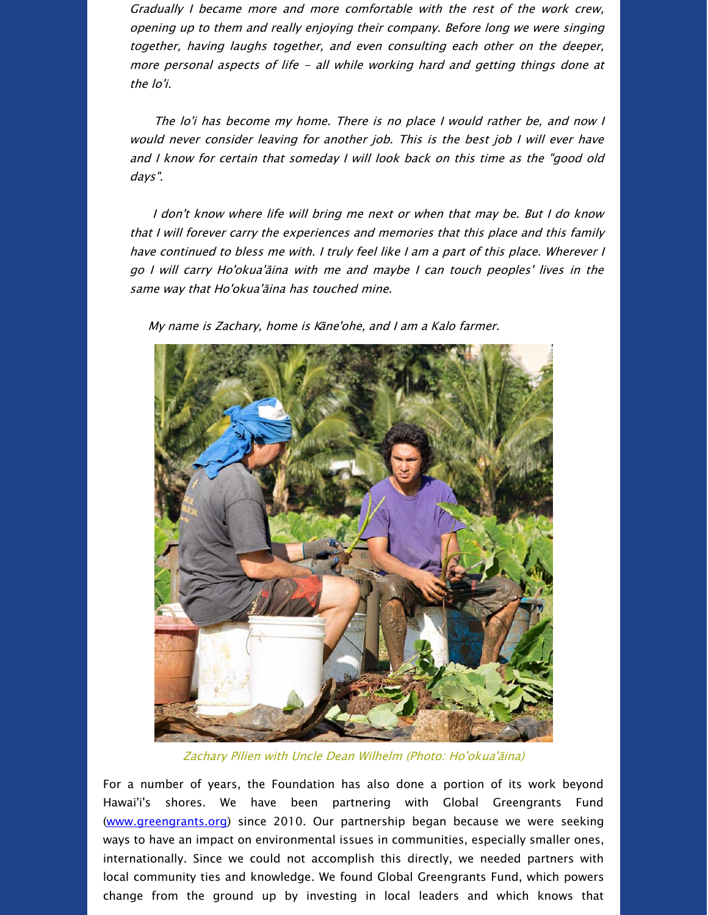Gradually I became more and more comfortable with the rest of the work crew, opening up to them and really enjoying their company. Before long we were singing together, having laughs together, and even consulting each other on the deeper, more personal aspects of life - all while working hard and getting things done at the lo'i.

The lo'i has become my home. There is no place I would rather be, and now I would never consider leaving for another job. This is the best job I will ever have and I know for certain that someday I will look back on this time as the "good old days".

I don't know where life will bring me next or when that may be. But I do know that I will forever carry the experiences and memories that this place and this family have continued to bless me with. I truly feel like I am <sup>a</sup> part of this place. Wherever I go I will carry Ho'okua'āina with me and maybe I can touch peoples' lives in the same way that Ho'okua'āina has touched mine.

My name is Zachary, home is Kāne'ohe, and I am <sup>a</sup> Kalo farmer.



Zachary Pilien with Uncle Dean Wilhelm (Photo: Ho'okua'āina)

For a number of years, the Foundation has also done a portion of its work beyond Hawai'i's shores. We have been partnering with Global Greengrants Fund [\(www.greengrants.org](http://www.greengrants.org/?utm_source=18.+Year+in+Review%3A+2017&utm_campaign=Year+in+Review%3A+2017+%28August+7%2C+2018%29&utm_medium=email)) since 2010. Our partnership began because we were seeking ways to have an impact on environmental issues in communities, especially smaller ones, internationally. Since we could not accomplish this directly, we needed partners with local community ties and knowledge. We found Global Greengrants Fund, which powers change from the ground up by investing in local leaders and which knows that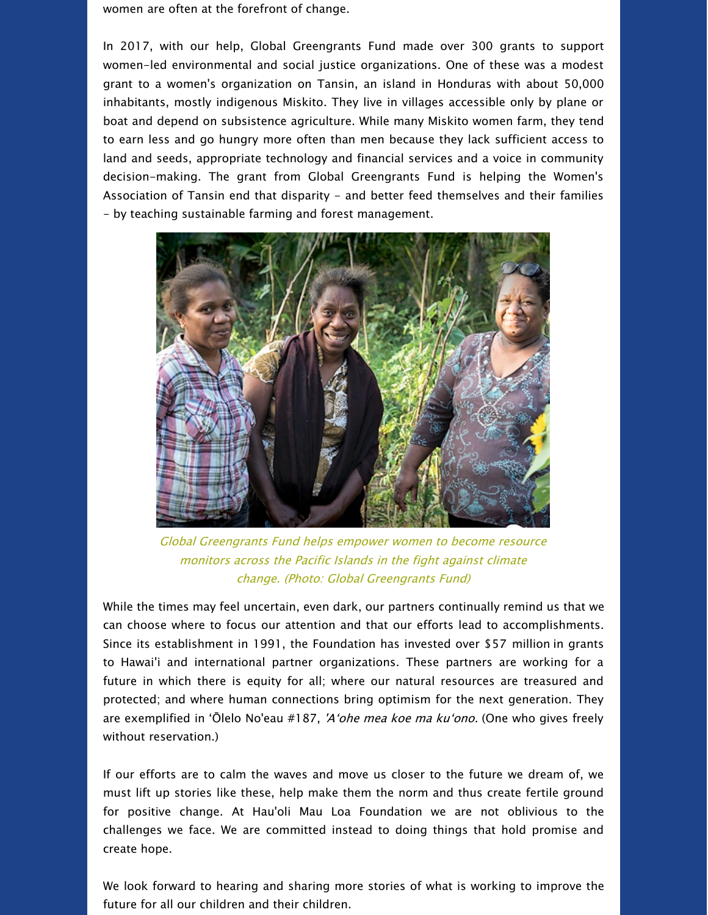women are often at the forefront of change.

In 2017, with our help, Global Greengrants Fund made over 300 grants to support women-led environmental and social justice organizations. One of these was a modest grant to a women's organization on Tansin, an island in Honduras with about 50,000 inhabitants, mostly indigenous Miskito. They live in villages accessible only by plane or boat and depend on subsistence agriculture. While many Miskito women farm, they tend to earn less and go hungry more often than men because they lack sufficient access to land and seeds, appropriate technology and financial services and a voice in community decision-making. The grant from Global Greengrants Fund is helping the Women's Association of Tansin end that disparity - and better feed themselves and their families - by teaching sustainable farming and forest management.



Global Greengrants Fund helps empower women to become resource monitors across the Pacific Islands in the fight against climate change. (Photo: Global Greengrants Fund)

While the times may feel uncertain, even dark, our partners continually remind us that we can choose where to focus our attention and that our efforts lead to accomplishments. Since its establishment in 1991, the Foundation has invested over \$57 million in grants to Hawai'i and international partner organizations. These partners are working for a future in which there is equity for all; where our natural resources are treasured and protected; and where human connections bring optimism for the next generation. They are exemplified in 'Ōlelo No'eau #187, 'A'ohe mea koe ma ku'ono. (One who gives freely without reservation.)

If our efforts are to calm the waves and move us closer to the future we dream of, we must lift up stories like these, help make them the norm and thus create fertile ground for positive change. At Hau'oli Mau Loa Foundation we are not oblivious to the challenges we face. We are committed instead to doing things that hold promise and create hope.

We look forward to hearing and sharing more stories of what is working to improve the future for all our children and their children.